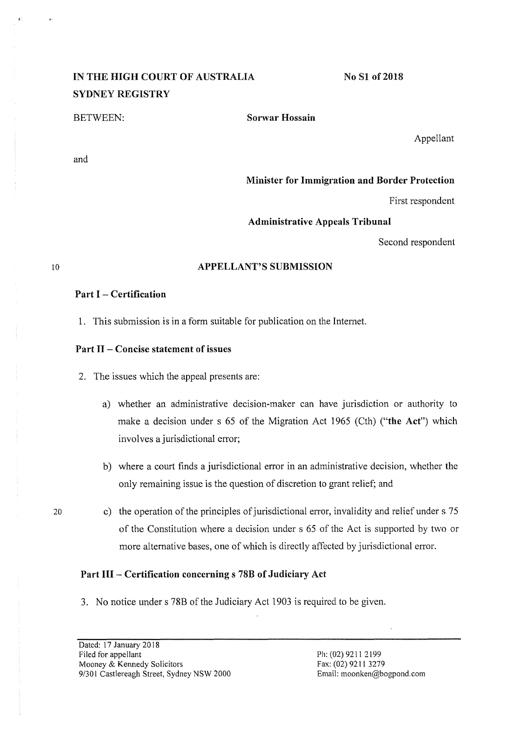# IN THE HIGH COURT OF AUSTRALIA SYDNEY REGISTRY

and

BETWEEN: Sorwar Hossain

Appellant

Minister for Immigration and Border Protection

No S1 of 2018

First respondent

# Administrative Appeals Tribunal

Second respondent

# APPELLANT'S SUBMISSION

# Part  $I -$  Certification

1. This submission is in a form suitable for publication on the Internet.

# Part II - Concise statement of issues

- 2. The issues which the appeal presents are:
	- a) whether an administrative decision-maker can have jurisdiction or authority to make a decision under s 65 of the Migration Act 1965 (Cth) ("the Act") which involves a jurisdictional error;
	- b) where a court finds a jurisdictional error in an administrative decision, whether the only remaining issue is the question of discretion to grant relief; and
- 20 c) the operation of the principles of jurisdictional error, invalidity and relief under s 75 of the Constitution where a decision under s 65 of the Act is supported by two or more alternative bases, one of which is directly affected by jurisdictional error.

# Part HI- Certification concerning s 78B of Judiciary Act

3. No notice under s 78B of the Judiciary Act 1903 is required to be given.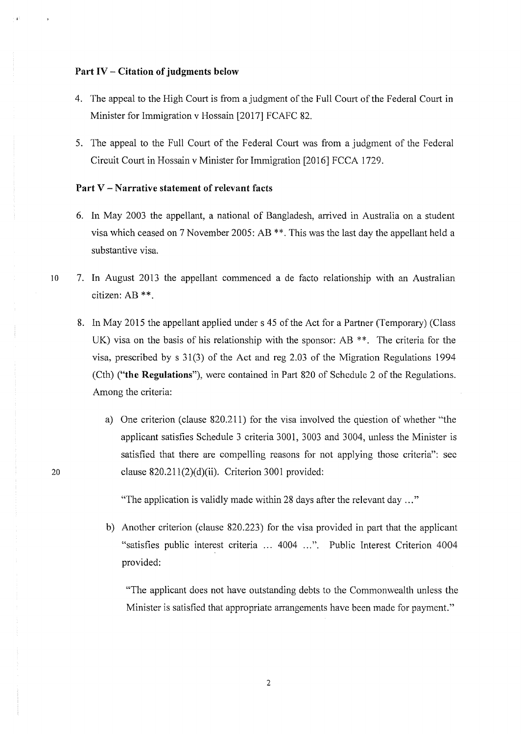#### **Part IV - Citation of judgments below**

- 4. The appeal to the High Court is from a judgment of the Full Court of the Federal Court in Minister for Immigration v Hossain [2017] FCAFC 82.
- 5. The appeal to the Full Court of the Federal Court was from a judgment of the Federal Circuit Court in Hossain v Minister for Immigration [2016] FCCA 1729.

# **Part V- Narrative statement of relevant facts**

- 6. In May 2003 the appellant, a national of Bangladesh, arrived in Australia on a student visa which ceased on 7 November 2005: AB\*\*. This was the last day the appellant held a substantive visa.
- 10 7. In August 2013 the appellant commenced a de facto relationship with an Australian citizen: AB\*\*.
	- 8. In May 2015 the appellant applied under s 45 of the Act for a Partner (Temporary) (Class UK) visa on the basis of his relationship with the sponsor: AB  $**$ . The criteria for the visa, prescribed by s 31(3) of the Act and reg 2.03 of the Migration Regulations 1994 (Cth) **("the Regulations"),** were contained in Part 820 of Schedule 2 of the Regulations. Among the criteria:
		- a) One criterion (clause 820.211) for the visa involved the question of whether "'the applicant satisfies Schedule 3 criteria 3001, 3003 and 3004, unless the Minister is satisfied that there are compelling reasons for not applying those criteria": sec clause 820.211(2)(d)(ii). Criterion 3001 provided:

"The application is validly made within 28 days after the relevant day ... "

b) Another criterion (clause 820.223) for the visa provided in part that the applicant "satisfies public interest criteria ... 4004 ...". Public Interest Criterion 4004 provided:

"The applicant does not have outstanding debts to the Commonwealth unless the Minister is satisfied that appropriate arrangements have been made for payment."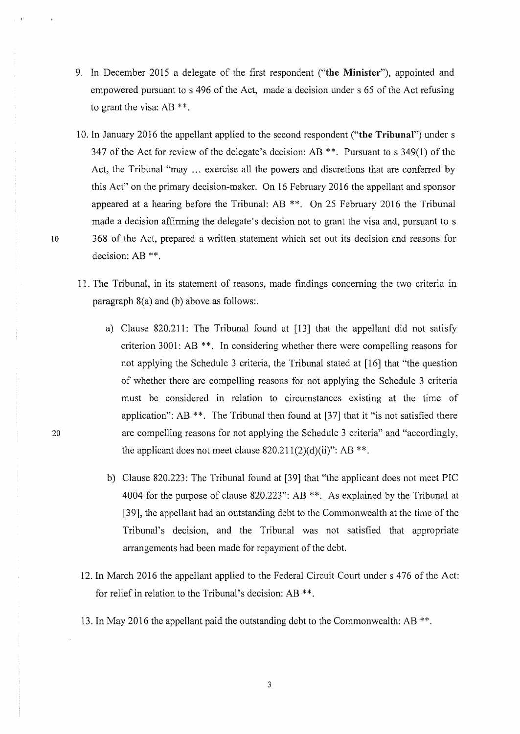- 9. In December 2015 a delegate of the first respondent ("the Minister"), appointed and empowered pursuant to s 496 of the Act, made a decision under s 65 of the Act refusing to grant the visa: AB \*\*.
- 10. In January 2016 the appellant applied to the second respondent **("the Tribunal")** under s 347 of the Act for review of the delegate's decision:  $AB **$ . Pursuant to s 349(1) of the Act, the Tribunal "may ... exercise all the powers and discretions that are conferred by this Act" on the primary decision-maker. On 16 February 2016 the appellant and sponsor appeared at a hearing before the Tribunal: AB \*\*. On 25 February 2016 the Tribunal made a decision affirming the delegate's decision not to grant the visa and, pursuant to s 10 368 of the Act, prepared a written statement which set out its decision and reasons for decision: AB \*\*.
	- 11. The Tribunal, in its statement of reasons, made findings concerning the two criteria in paragraph 8(a) and (b) above as follows:.
		- a) Clause 820.211: The Tribunal found at [13] that the appellant did not satisfy criterion 3001: AB\*\*. In considering whether there were compelling reasons for not applying the Schedule 3 criteria, the Tribunal stated at [16] that "the question of whether there arc compelling reasons for not applying the Schedule 3 criteria must be considered in relation to circumstances existing at the time of application": AB  $**$ . The Tribunal then found at [37] that it "is not satisfied there are compelling reasons for not applying the Schedule 3 criteria" and "accordingly, the applicant does not meet clause  $820.211(2)(d)(ii)$ ": AB \*\*.
		- b) Clause 820.223: The Tribunal found at [39] that "the applicant does not meet PIC 4004 for the purpose of clause 820.223": AB\*\*. As explained by the Tribunal at [39], the appellant had an outstanding debt to the Commonwealth at the time of the Tribunal's decision, and the Tribunal was not satisfied that appropriate arrangements had been made for repayment of the debt.
	- 12. In March 2016 the appellant applied to the Federal Circuit Court under s 476 of the Act: for relief in relation to the Tribunal's decision: AB \*\*.
	- 13. In May 2016 the appellant paid the outstanding debt to the Commonwealth: AB\*\*.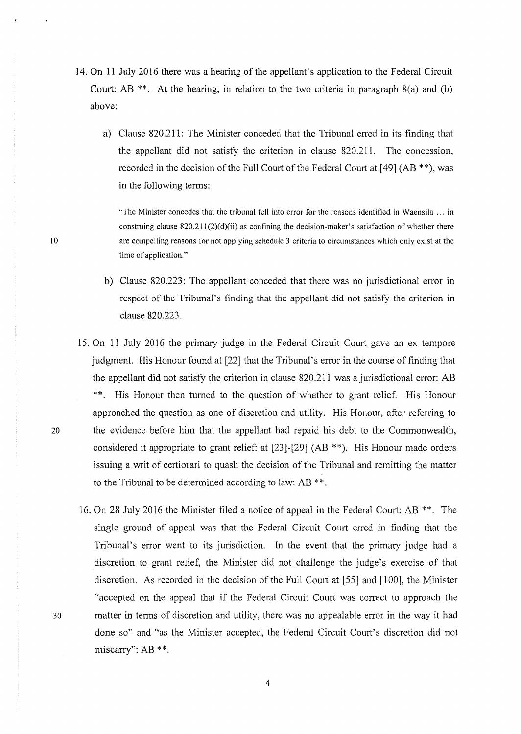- 14. On 11 July 2016 there was a hearing of the appellant's application to the Federal Circuit Court: AB  $**$ . At the hearing, in relation to the two criteria in paragraph  $8(a)$  and (b) above:
	- a) Clause 820.211: The Minister conceded that the Tribunal erred in its finding that the appellant did not satisfy the criterion in clause 820.211. The concession, recorded in the decision of the Full Court of the Federal Court at [49] (AB\*\*), was in the following terms:

"The Minister concedes that the tribunal fell into error for the reasons identified in Waensila ... in construing clause  $820.211(2)(d)(ii)$  as confining the decision-maker's satisfaction of whether there are compelling reasons for not applying schedule 3 criteria to circumstances which only exist at the time of application."

- b) Clause 820.223: The appellant conceded that there was no jurisdictional error in respect of the Tribunal's finding that the appellant did not satisfy the criterion in clause 820.223.
- 15. On 11 July 2016 the primary judge in the Federal Circuit Court gave an ex tempore judgment. His Honour found at [22] that the Tribunal's error in the course of finding that the appellant did not satisfy the criterion in clause 820.211 was a jurisdictional error: AB \*\*. His Honour then turned to the question of whether to grant relief. His Honour approached the question as one of discretion and utility. His Honour, after referring to 20 the evidence before him that the appellant had repaid his debt to the Commonwealth, considered it appropriate to grant relief: at  $[23]-[29]$  (AB \*\*). His Honour made orders issuing a writ of certiorari to quash the decision of the Tribunal and remitting the matter to the Tribunal to be determined according to law: AB \*\*.
- 16. On 28 July 2016 the Minister filed a notice of appeal in the Federal Court: AB\*\*. The single ground of appeal was that the Federal Circuit Court erred in finding that the Tribunal's error went to its jurisdiction. In the event that the primary judge had a discretion to grant relief, the Minister did not challenge the judge's exercise of that discretion. As recorded in the decision of the Full Court at  $[55]$  and  $[100]$ , the Minister "accepted on the appeal that if the Federal Circuit Court was correct to approach the 30 matter in terms of discretion and utility, there was no appealable error in the way it had done so" and "as the Minister accepted, the Federal Circuit Court's discretion did not miscarry": AB \*\*.

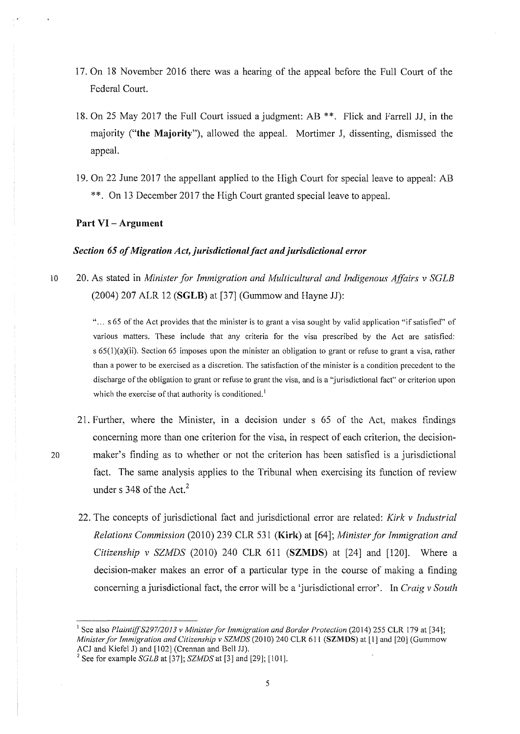- 17. On 18 November 2016 there was a hearing of the appeal before the Full Court of the Federal Court.
- 18. On 25 May 2017 the Full Court issued a judgment: AB\*\*. Flick and Farrell JJ, in the majority **("the Majority"),** allowed the appeal. Mortimer J, dissenting, dismissed the appeal.
- 19. On 22 June 2017 the appellant applied to the High Court for special leave to appeal: AB \*\*. On 13 December 2017 the High Court granted special leave to appeal.

#### **Part VI - Argument**

# *Section 65 of Migration Act, jurisdictional fact and jurisdictional error*

10 20. As stated in *Minister for Immigration and Multicultural and Indigenous Affairs* v SGLB (2004) 207 ALR 12 **(SGLB)** at [37] (Gummow and Hayne JJ):

> "... s 65 of the Act provides that the minister is to grant a visa sought by valid application "if satisfied" of various matters. These include that any criteria for the visa prescribed by the Act are satisfied: s 65(l)(a)(ii). Section 65 imposes upon the minister an obligation to grant or refuse to grant a visa, rather than a power to be exercised as a discretion. The satisfaction of the minister is a condition precedent to the discharge of the obligation to grant or refuse to grant the visa, and is a "jurisdictional fact" or criterion upon which the exercise of that authority is conditioned.<sup>1</sup>

- 21. Further, where the Minister, in a decision under s 65 of the Act, makes findings concerning more than one criterion for the visa, in respect of each criterion, the decision-20 maker's finding as to whether or not the criterion has been satisfied is a jurisdictional fact. The same analysis applies to the Tribunal when exercising its function of review under s  $348$  of the Act.<sup>2</sup>
	- 22. The concepts of jurisdictional fact and jurisdictional error are related: *Kirk v Industrial Relations Commission* (2010) 239 CLR 531 **(Kirk)** at [64]; *Minister for Immigration and Citizenship v SZMDS* (2010) 240 CLR 611 **(SZMDS)** at [24] and [120]. Where a decision-maker makes an error of a particular type in the course of making a finding concerning a jurisdictional fact, the error will be a 'jurisdictional error'. In *Craig v South*

<sup>&</sup>lt;sup>1</sup> See also *Plaintiff S297/2013 v Minister for Immigration and Border Protection (2014) 255 CLR 179 at [34]; Minister for Immigration and Citizenship v SZMDS* (2010) 240 CLR 611 (SZMDS) at [1] and [20] (Gummow ACJ and Kiefel J) and [102] (Crennan and Bell JJ).

<sup>&</sup>lt;sup>2</sup> See for example  $SGLB$  at [37];  $SZMDS$  at [3] and [29]; [101].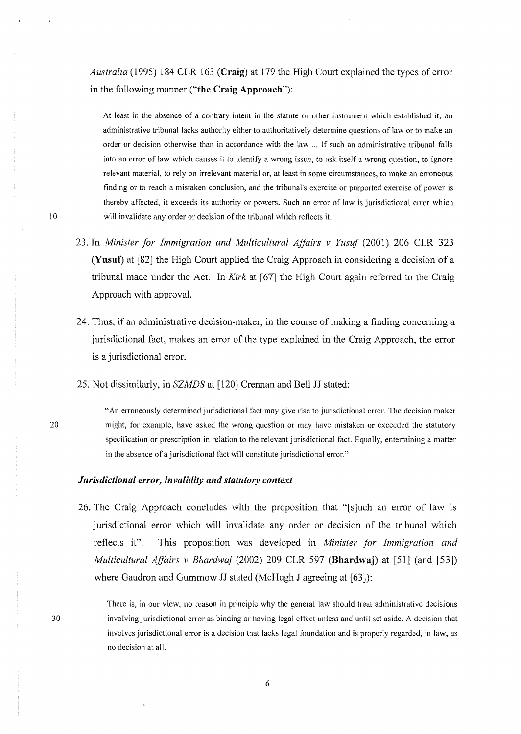*Australia* ( 1995) 184 CLR 163 **(Craig)** at 179 the High Court explained the types of error in the following manner **("the Craig Approach"):** 

At least in the absence of a contrary intent in the statute or other instrument which established it, an administrative tribunal lacks authority either to authoritatively determine questions of law or to make an order or decision otherwise than in accordance with the law ... If such an administrative tribunal falls into an error of law which causes it to identify a wrong issue, to ask itself a wrong question, to ignore relevant material, to rely on irrelevant material or, at least in some circumstances, to make an erroneous finding or to reach a mistaken conclusion, and the tribunal's exercise or purported exercise of power is thereby affected, it exceeds its authority or powers. Such an error of law is jurisdictional error which will invalidate any order or decision of the tribunal which reflects it.

- 23. In *Minister for Immigration and Multicultural Affairs v Yusuf* (2001) 206 CLR 323 **(Yusuf)** at [82] the High Court applied the Craig Approach in considering a decision of a tribunal made under the Act. In *Kirk* at [67] the High Court again referred to the Craig Approach with approval.
- 24. Thus, if an administrative decision-maker, in the course of making a finding concerning a jurisdictional fact, makes an error of the type explained in the Craig Approach, the error is a jurisdictional error.
- 25. Not dissimilarly, in *SZMDS* at [120] Crennan and Bell JJ stated:
	- "An erroneously determined jurisdictional fact may give rise to jurisdictional error. The decision maker might, for example, have asked the wrong question or may have mistaken or exceeded the statutory specification or prescription in relation to the relevant jurisdictional fact. Equally, entertaining a matter in the absence of a jurisdictional fact will constitute jurisdictional error."

# *Jurisdictional error, invalidity and statutory context*

26. The Craig Approach concludes with the proposition that "[s]uch an error of law is jurisdictional error which will invalidate any order or decision of the tribunal which reflects it". This proposition was developed in *Minister for Immigration and Multicultural Affairs v Bhardwaj* (2002) 209 CLR 597 **(Bhardwaj)** at [51J (and [53]) where Gaudron and Gummow JJ stated (McHugh J agreeing at [63]):

30

20

There is, in our view, no reason in principle why the general law should treat administrative decisions involving jurisdictional error as binding or having legal effect unless and until set aside. A decision that involves jurisdictional error is a decision that lacks legal foundation and is properly regarded, in law, as no decision at all.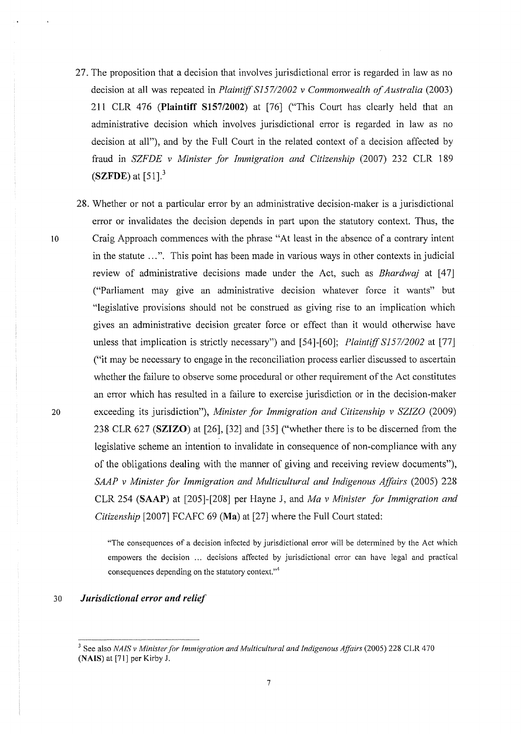- 27. The proposition that a decision that involves jurisdictional error is regarded in law as no decision at all was repeated in *Plaintiff 8157/2002 v Commonwealth of Australia* (2003) 211 CLR 476 (Plaintiff S157/2002) at [76] ("This Court has clearly held that an administrative decision which involves jurisdictional error is regarded in law as no decision at all"), and by the Full Court in the related context of a decision affected by fraud in *SZFDE v Minister for Immigration and Citizenship* (2007) 232 CLR 189 (SZFDE) at  $[51]$ <sup>3</sup>
- 28. Whether or not a particular error by an administrative decision-maker is a jurisdictional error or invalidates the decision depends in part upon the statutory context. Thus, the <sup>10</sup>Craig Approach commences with the phrase "At least in the absence of a contrary intent in the statute ...". This point has been made in various ways in other contexts in judicial review of administrative decisions made under the Act, such as *Bhardwaj* at [47] ("Parliament may give an administrative decision whatever force it wants" but "legislative provisions should not be construed as giving rise to an implication which gives an administrative decision greater force or effect than it would otherwise have unless that implication is strictly necessary") and [54]-[60]; *Plaintiff S157/2002* at [77] ("it may be necessary to engage in the reconciliation process earlier discussed to ascertain whether the failure to observe some procedural or other requirement of the Act constitutes an error which has resulted in a failure to exercise jurisdiction or in the decision-maker 20 exceeding its jurisdiction"), *Minister for Immigration and Citizenship v SZJZO* (2009) 238 CLR 627 (SZIZO) at [26], [32] and [35] ("whether there is to be discerned from the legislative scheme an intention to invalidate in consequence of non-compliance with any of the obligations dealing with the manner of giving and receiving review documents"), *SAAP v Minister for Immigration and Multicultural and Indigenous Affairs* (2005) 228 CLR 254 (SAAP) at [205]-[208] per Hayne J, and *Ma v Minister for Immigration and Citizenship* [2007] FCAFC 69 (Ma) at [27] where the Full Court stated:

"The consequences of a decision infected by jurisdictional error will be determined by the Act which empowers the decision ... decisions affected by jurisdictional error can have legal and practical consequences depending on the statutory context."<sup>4</sup>

## 30 *Jurisdictional error and relief*

<sup>&</sup>lt;sup>3</sup> See also *NAIS v Minister for Immigration and Multicultural and Indigenous Affairs* (2005) 228 CLR 470 (NAIS) at [71] per Kirby J.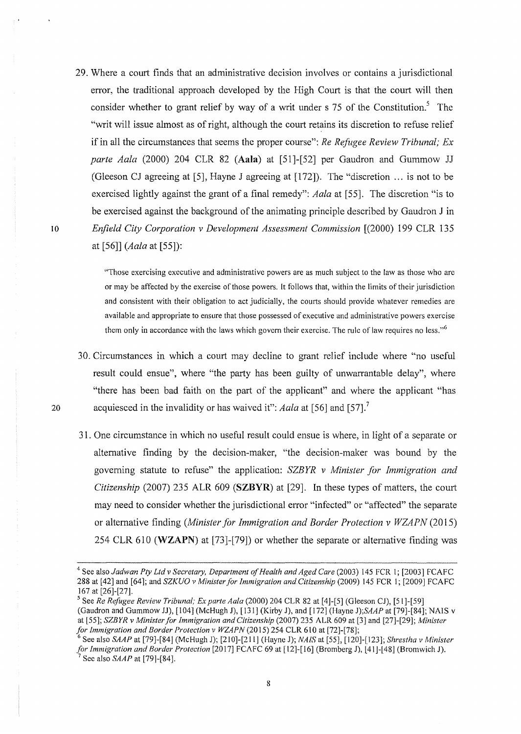29. Where a court finds that an administrative decision involves or contains a jurisdictional error, the traditional approach developed by the High Court is that the court will then consider whether to grant relief by way of a writ under  $\sigma$  75 of the Constitution.<sup>5</sup> The "writ will issue almost as of right, although the court retains its discretion to refuse relief if in all the circumstances that seems the proper course": *Re Refugee Review Tribunal; Ex: parte Aala* (2000) 204 CLR 82 **(Aala)** at [51]-[52] per Gaudron and Gummow JJ (Gleeson CJ agreeing at [5], Hayne J agreeing at [172]). The "discretion ... is not to be exercised lightly against the grant of a final remedy": *Aala* at [55]. The discretion "is to be exercised against the background of the animating principle described by Gaudron J in 10 *Erifield City Corporation v Development Assessment Commission* [(2000) 199 CLR 135 at [56]] *(Aala* at [55]):

> "Those exercising executive and administrative powers are as much subject to the law as those who are or may be affected by the exercise of those powers. It follows that, within the limits of their jurisdiction and consistent with their obligation to act judicially, the courts should provide whatever remedies are available and appropriate to ensure that those possessed of executive and administrative powers exercise them only in accordance with the laws which govern their exercise. The rule of law requires no less."<sup>6</sup>

- 30. Circumstances in which a court may decline to grant relief include where "no useful result could ensue", where "the party has been guilty of unwarrantable delay", where "there has been bad faith on the part of the applicant" and where the applicant "has 20 acquiesced in the invalidity or has waived it": *Aala* at [56] and [57]. <sup>7</sup>
	- 31. One circumstance in which no useful result could ensue is where, in light of a separate or alternative finding by the decision-maker, "the decision-maker was bound by the governing statute to refuse" the application: *SZBYR v Minister for Immigration and Citizenship* (2007) 235 ALR 609 **(SZBYR)** at [29]. In these types of matters, the court may need to consider whether the jurisdictional error "infected" or "affected" the separate or alternative finding *(Minister for Immigration and Border Protection v WZAPN (2015)* 254 CLR 610 **(WZAPN)** at [73]-[79]) or whether the separate or alternative finding was

<sup>·~</sup>See *alsoJadwan Pty Ltd v Secretmy, Department of Health and Aged Care* (2003) 145 FCR l; [2003] FCAFC 288 at [42] and [64]; and *SZKUO v Minister for Immigration and Citizenship* (2009) 145 FCR 1; [2009] FCAFC 167 at [26]-[27].

<sup>&</sup>lt;sup>5</sup> See *Re Refugee Review Tribunal; Ex parte Aala* (2000) 204 CLR 82 at [4]-[5] (Gleeson CJ), [51]-[59] (Gaudron and Gummow JJ),  $[104]$  (McHugh J),  $[131]$  (Kirby J), and  $[172]$  (Hayne J); $SAP$  at  $[79]$ -[84]; NAIS v at [55]; *SZBYR v Minister for Immigration and Citizenship* (2007) 235 ALR 609 at [3] and [27]-[29]; *Minister for Immigration and Border Protection v WZAPN* (2015) 254 CLR 610 at [72]-[78];<br><sup>6</sup> See also *SAAP* at [79]-[84] (McHugh J); [210]-[211] (Hayne J); *NAIS* at [55], [120]-[123]; *Shrestha v Minister* 

*for Immigration and Border Protection* [2017] FCAFC 69 at [12]-[16] (Bromberg J), [41]-[48] (Bromwich J).<br><sup>7</sup> See also *SAAP* at [79]-[84].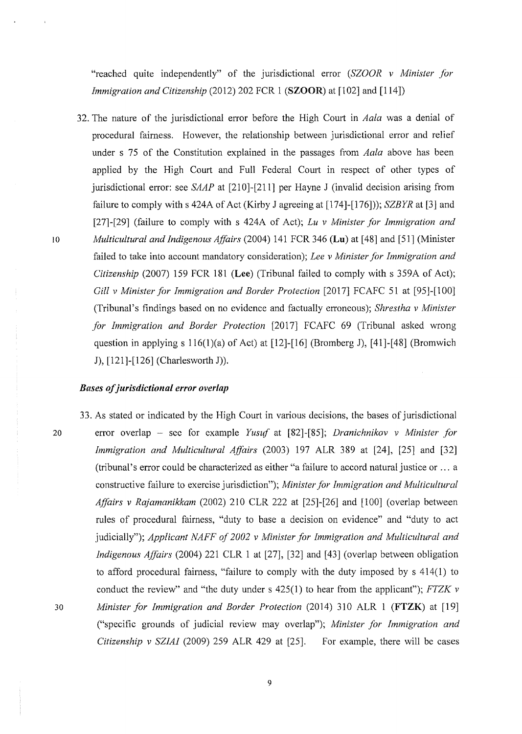"reached quite independently" of the jurisdictional error (SZOOR *v Minister for Immigration and Citizenship* (2012) 202 FCR 1 **(SZOOR)** at [102] and [114])

32. The nature of the jurisdictional error before the High Court in *Aala* was a denial of procedural faimess. However, the relationship between jurisdictional error and relief under s 75 of the Constitution explained in the passages from *Aala* above has been applied by the High Court and Full Federal Court in respect of other types of jurisdictional error: see *SAAP* at [210]-[211] per Hayne J (invalid decision arising from failure to comply with s 424A of Act (Kirby J agreeing at [174]-[176])); *SZBYR* at [3] and [271-[29] (failure to comply with s 424A of Act); *Lu v Minister for Immigration and*  <sup>10</sup>*Multicultural and Indigenous Affairs* (2004) 141 FCR 346 **(Lu)** at [48] and [51] (Minister failed to take into account mandatory consideration); *Lee v Minister for Immigration and Citizenship* (2007) 159 FCR 181 **(Lee)** (Tribunal failed to comply with s 359A of Act); *Gill v Minister for Immigration and Border Protection* [2017] FCAFC 51 at [95]-[100] (Tribunal's findings based on no evidence and factually erroneous); *Shrestha v Minister for Immigration and Border Protection* [2017] FCAFC 69 (Tribunal asked wrong question in applying s 116(l)(a) of Act) at [12]-[16] (Bromberg **J),** [41]-[48] (Bromwich J), [121]-[126] (Charlesworth J)).

#### *Bases of jurisdictional error overlap*

33. As stated or indicated by the High Court in various decisions, the bases of jurisdictional 20 error overlap - sec for example *Yusuf* at [82]-[85]; *Dranichnikov v Minister for Immigration and Multicultural Affairs* (2003) 197 ALR 389 at [24], [25] and [32] (tribunal's error could be characterized as either "a failure to accord natural justice or ... a constructive failure to exercise jurisdiction"); *Minister for Immigration and Multicultural Affairs v Rajamanikkam* (2002) 210 CLR 222 at [25]-[26] and [100] (overlap between rules of procedural faimess, "duty to base a decision on evidence" and "duty to act judicially"); *Applicant NAFF of 2002 v Minister for Immigration and Multicultural and Indigenous Affairs* (2004) 221 CLR 1 at [27], [32] and [43] (overlap between obligation to afford procedural fairness, "failure to comply with the duty imposed by  $s$  414(1) to conduct the review" and "the duty under s 425(1) to hear from the applicant"); *FTZK v*  30 *Minister for Immigration and Border Protection* (2014) 310 ALR 1 **(FTZK)** at [19] ("specific grounds of judicial review may overlap"); *Minister for Immigration and Citizenship v SZIAI* (2009) 259 ALR 429 at (25]. For example, there will be cases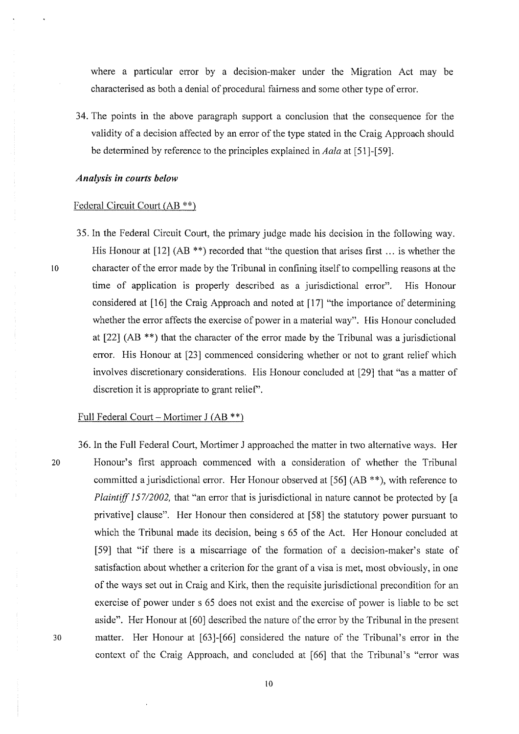where a particular error by a decision-maker under the Migration Act may be characterised as both a denial of procedural fairness and some other type of error.

34. The points in the above paragraph support a conclusion that the consequence for the validity of a decision affected by an error of the type stated in the Craig Approach should be determined by reference to the principles explained in *Aala* at [51 ]-[59].

#### *Analysis in courts below*

### Federal Circuit Court (AB \*\*)

35. In the Federal Circuit Court, the primary judge made his decision in the following way. His Honour at  $[12]$  (AB \*\*) recorded that "the question that arises first ... is whether the 10 character of the error made by the Tribunal in confining itself to compelling reasons at the time of application is properly described as a jurisdictional error". His Honour considered at [16] the Craig Approach and noted at [17] "the importance of determining whether the error affects the exercise of power in a material way". His Honour concluded at  $[22]$  (AB \*\*) that the character of the error made by the Tribunal was a jurisdictional error. His Honour at [23] commenced considering whether or not to grant relief which involves discretionary considerations. His Honour concluded at [29] that "as a matter of discretion it is appropriate to grant relief'.

## Full Federal Court – Mortimer J  $(AB **)$

36. In the Full Federal Court, Mortimer J approached the matter in two alternative ways. Her 20 Honour's first approach commenced with a consideration of whether the Tribunal committed a jurisdictional error. Her Honour observed at [56] (AB\*\*), with reference to *Plaintiff 157/2002*, that "an error that is jurisdictional in nature cannot be protected by [a privative] clause". Her Honour then considered at [58] the statutory power pursuant to which the Tribunal made its decision, being s 65 of the Act. Her Honour concluded at [59] that "if there is a miscarriage of the formation of a decision-maker's state of satisfaction about whether a criterion for the grant of a visa is met, most obviously, in one of the ways set out in Craig and Kirk, then the requisite jurisdictional precondition for an exercise of power under s 65 does not exist and the exercise of power is liable to be set aside". Her Honour at [60] described the nature of the error by the Tribunal in the present 30 matter. Her Honour at [63]-[66] considered the nature of the Tribunal's error in the context of the Craig Approach, and concluded at [66] that the Tribunal's "error was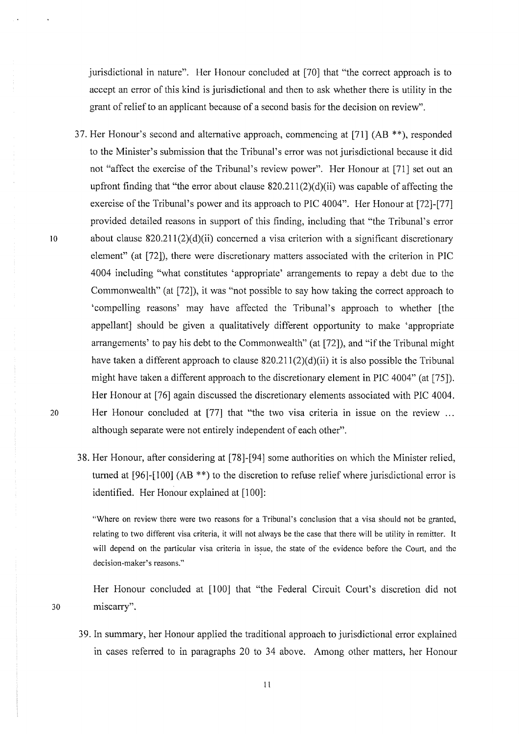jurisdictional in nature". Her Honour concluded at [70] that "the correct approach is to accept an error of this kind is jurisdictional and then to ask whether there is utility in the grant of relief to an applicant because of a second basis for the decision on review".

- 37. Her Honour's second and alternative approach, commencing at [71] (AB \*\*), responded to the Minister's submission that the Tribunal's error was not jurisdictional because it did not "affect the exercise of the Tribunal's review power". Her Honour at [71] set out an up front finding that "the error about clause  $820.211(2)(d)(ii)$  was capable of affecting the exercise of the Tribunal's power and its approach to PlC 4004". Her Honour at [72]-[77] provided detailed reasons in support of this finding, including that "the Tribunal's error 10 about clause  $820.211(2)(d)(ii)$  concerned a visa criterion with a significant discretionary element" (at [72J), there were discretionary matters associated with the criterion in PlC 4004 including "what constitutes 'appropriate' arrangements to repay a debt due to the Commonwealth" (at [72]), it was "not possible to say how taking the correct approach to 'compelling reasons' may have affected the Tribunal's approach to whether [the appellant] should be given a qualitatively different opportunity to make 'appropriate arrangements' to pay his debt to the Commonwealth" (at [72]), and "if the Tribunal might have taken a different approach to clause  $820.211(2)(d)(ii)$  it is also possible the Tribunal might have taken a different approach to the discretionary element in PlC 4004" (at [75]). Her Honour at [76] again discussed the discretionary elements associated with PlC 4004. 20 Her Honour concluded at [77] that "the two visa criteria in issue on the review ... although separate were not entirely independent of each other".
	- 38. Her Honour, after considering at [78]-[94] some authorities on which the Minister relied, turned at  $[96]$ - $[100]$  (AB \*\*) to the discretion to refuse relief where jurisdictional error is identified. Her Honour explained at [100]:

"Where on review there were two reasons for a Tribunal's conclusion that a visa should not be granted, relating to two different visa criteria, it will not always be the case that there will be utility in remitter. It will depend on the particular visa criteria in issue, the state of the evidence before the Court, and the decision-maker's reasons."

Her Honour concluded at [100] that "the Federal Circuit Court's discretion did not 30 miscarry".

39. In summary, her Honour applied the traditional approach to jurisdictional error explained in cases referred to in paragraphs 20 to 34 above. Among other matters, her Honour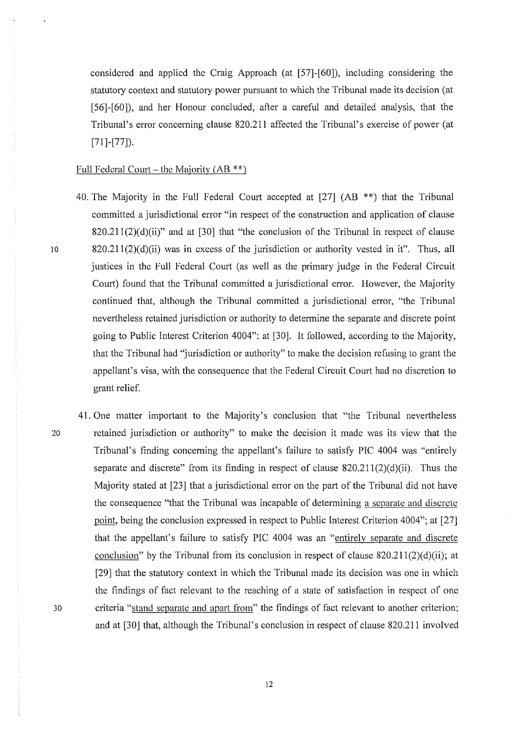considered and applied the Craig Approach (at [57]-[60]), including considering the statutory context and statutory power pursuant to which the Tribunal made its decision (at [56]-[60]), and her Honour concluded, after a careful and detailed analysis, that the Tribunal's error concerning clause 820.211 affected the Tribunal's exercise of power (at  $[71]$ - $[77]$ ).

#### Full Federal Court- the Majority  $(AB^{**})$

- 40. The Majority in the Full Federal Court accepted at [27] (AB \*\*) that the Tribunal committed a jurisdictional error "in respect of the construction and application of clause  $820.211(2)(d)(ii)$ " and at [30] that "the conclusion of the Tribunal in respect of clause 10 820.211(2)(d)(ii) was in excess of the jurisdiction or authority vested in it". Thus, all justices in the Full Federal Court (as well as the primary judge in the Federal Circuit Court) found that the Tribunal committed a jurisdictional error. However, the Majority continued that, although the Tribunal committed a jurisdictional error, "the Tribunal nevertheless retained jurisdiction or authority to determine the separate and discrete point going to Public Interest Criterion 4004": at [30]. It followed, according to the Majority, that the Tribunal had "jurisdiction or authority" to make the decision refusing to grant the appellant's visa, with the consequence that the Federal Circuit Court had no discretion to grant relief.
- 41. One matter important to the Majority's conclusion that "the Tribunal nevertheless 20 retained jurisdiction or authority" to make the decision it made was its view that the Tribunal's finding concerning the appellant's failure to satisfy PlC 4004 was "entirely separate and discrete" from its finding in respect of clause  $820.211(2)(d)(ii)$ . Thus the Majority stated at [23] that a jurisdictional error on the part of the Tribunal did not have the consequence "that the Tribunal was incapable of determining a separate and discrete point, being the conclusion expressed in respect to Public Interest Criterion 4004"; at [27] that the appellant's failure to satisfy PIC 4004 was an "entirelv separate and discrete conclusion" by the Tribunal from its conclusion in respect of clause  $820.211(2)(d)(ii)$ ; at [29] that the statutory context in which the Tribunal made its decision was one in which the findings of fact relevant to the reaching of a state of satisfaction in respect of one 30 criteria "stand separate and apart from" the findings of fact relevant to another criterion; and at [30J that, although the Tribunal's conclusion in respect of clause 820.211 involved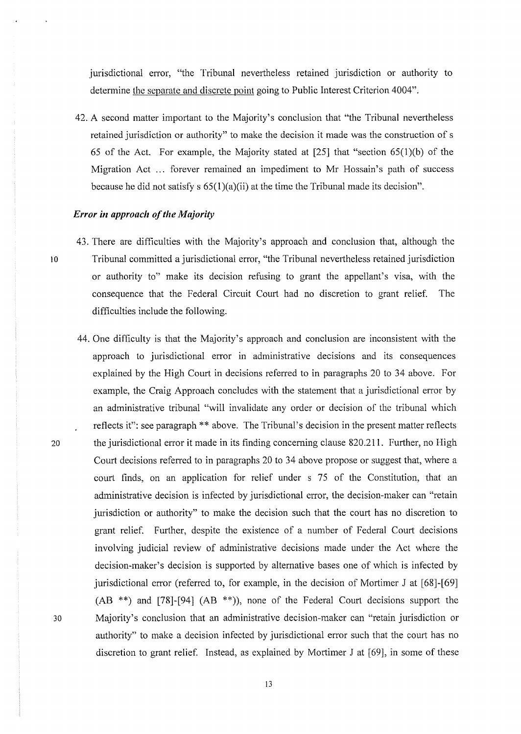jurisdictional error, "the Tribunal nevertheless retained jurisdiction or authority to determine the separate and discrete point going to Public Interest Criterion 4004".

42. A second matter important to the Majority's conclusion that "the Tribunal nevertheless retained jurisdiction or authority" to make the decision it made was the construction of s 65 of the Act. For example, the Majority stated at  $[25]$  that "section  $(65(1)(b))$  of the Migration Act ... forever remained an impediment to Mr Hossain's path of success because he did not satisfy s  $65(1)(a)(ii)$  at the time the Tribunal made its decision".

#### *Error in approach of the Majority*

- 43. There are difficulties with the Majority's approach and conclusion that, although the 1 o Tribunal committed a jurisdictional error, "the Tribunal nevertheless retained jurisdiction or authority to" make its decision refusing to grant the appellant's visa, with the consequence that the Federal Circuit Court had no discretion to grant relief. The difficulties include the following.
- 44. One difficulty is that the Majority's approach and conclusion are inconsistent with the approach to jurisdictional error in administrative decisions and its consequences explained by the High Court in decisions referred to in paragraphs 20 to 34 above. For example, the Craig Approach concludes with the statement that a jurisdictional error by an administrative tribunal "will invalidate any order or decision of the tribunal which reflects it": see paragraph<sup>\*\*</sup> above. The Tribunal's decision in the present matter reflects 20 the jurisdictional error it made in its finding concerning clause 820.211. Further, no High Court decisions refened to in paragraphs 20 to 34 above propose or suggest that, where a court finds, on an application for relief under s 75 of the Constitution, that an administrative decision is infected by jurisdictional error, the decision-maker can "retain jurisdiction or authority" to make the decision such that the court has no discretion to grant relief. Further, despite the existence of a number of Federal Court decisions involving judicial review of administrative decisions made under the Act where the decision-maker's decision is supported by alternative bases one of which is infected by jurisdictional error (referred to, for example, in the decision of Mortimer J at [68]-[69]  $(AB$ <sup>\*\*</sup>) and [78]-[94]  $(AB$ <sup>\*\*</sup>)), none of the Federal Court decisions support the 30 Majority's conclusion that an administrative decision-maker can "retain jurisdiction or authority" to make a decision infected by jurisdictional error such that the court has no discretion to grant relief. Instead, as explained by Mortimer J at [69], in some of these

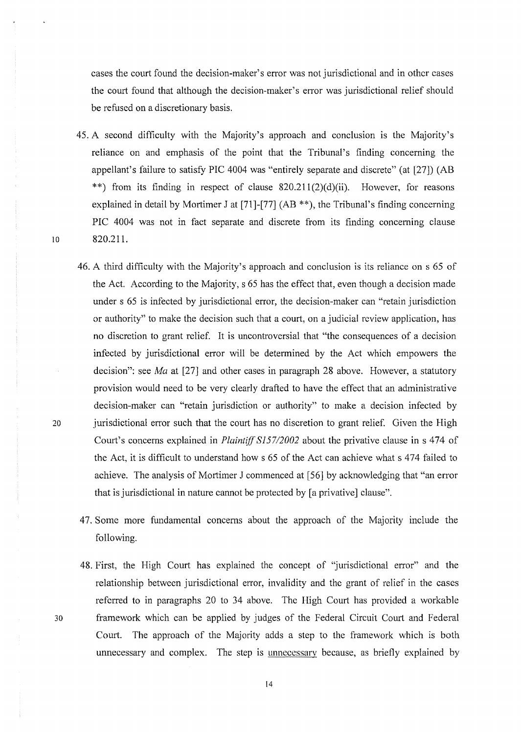cases the court found the decision-maker's error was not jurisdictional and in other cases the court found that although the decision-maker's error was jurisdictional relief should be refused on a discretionary basis.

- 45. A second difficulty with the Majority's approach and conclusion is the Majority's reliance on and emphasis of the point that the Tribunal's finding concerning the appellant's failure to satisfy PlC 4004 was "entirely separate and discrete" (at [27]) (AB \*\*) from its finding in respect of clause 820.211(2)(d)(ii). However, for reasons explained in detail by Mortimer J at [71]-[77] (AB<sup>\*\*</sup>), the Tribunal's finding concerning PlC 4004 was not in fact separate and discrete from its finding concerning clause 10 820.211.
- 46. A third difficulty with the Majority's approach and conclusion is its reliance on s 65 of the Act. According to the Majority, s 65 has the effect that, even though a decision made under s 65 is infected by jurisdictional error, the decision-maker can "retain jurisdiction or authority" to make the decision such that a court, on a judicial review application, has no discretion to grant relief. It is uncontroversial that "the consequences of a decision infected by jurisdictional error will be determined by the Act which empowers the decision": see *Ma* at [27] and other cases in paragraph 28 above. However, a statutory provision would need to be very clearly drafted to have the effect that an administrative decision-maker can "retain jurisdiction or authority" to make a decision infected by 20 jurisdictional error such that the court has no discretion to grant relief. Given the High Court's concerns explained in *Plaintiff 815712002* about the privative clause in s 474 of the Act, it is difficult to understand how s 65 of the Act can achieve what s 474 failed to achieve. The analysis of Mortimer J commenced at [56] by acknowledging that "an error that is jurisdictional in nature cannot be protected by [a privative] clause".
	- 47. Some more fundamental concerns about the approach of the Majority include the following.
- 48. First, the High Court has explained the concept of 'jurisdictional error" and the relationship between jurisdictional error, invalidity and the grant of relief in the cases referred to in paragraphs 20 to 34 above. The High Court has provided a workable 30 framework which can be applied by judges of the Federal Circuit Court and Federal Court. The approach of the Majority adds a step to the framework which is both unnecessary and complex. The step is unnecessarv because, as briefly explained by

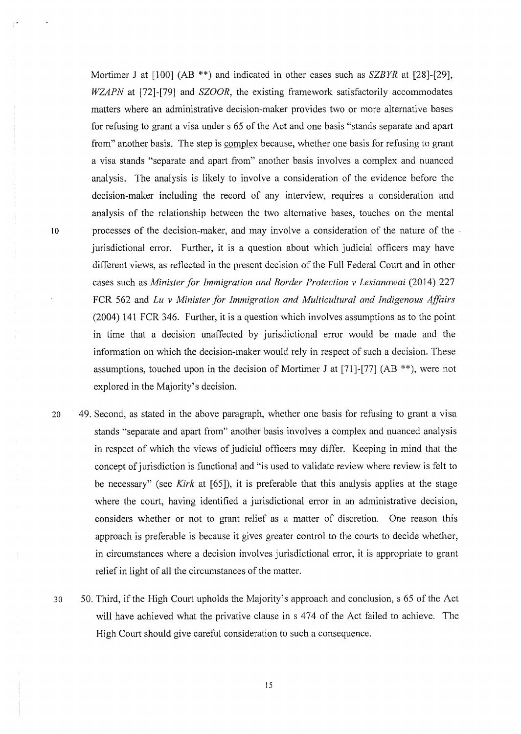Mortimer J at [100] (AB \*\*) and indicated in other cases such as *SZBYR* at [28]-[29], *WZAPN* at [72]-[79] and *SZOOR,* the existing framework satisfactorily accommodates matters where an administrative decision-maker provides two or more alternative bases for refusing to grant a visa under s 65 of the Act and one basis "stands separate and apart from" another basis. The step is complex because, whether one basis for refusing to grant a visa stands "separate and apart from" another basis involves a complex and nuanccd analysis. The analysis is likely to involve a consideration of the evidence before the decision-maker including the record of any interview, requires a consideration and analysis of the relationship between the two alternative bases, touches on the mental 10 processes of the decision-maker, and may involve a consideration of the nature of the jurisdictional error. Further, it is a question about which judicial officers may have different views, as reflected in the present decision of the Full Federal Court and in other cases such as *Minister for Immigration and Border Protection v Lesianawai* (2014) 227 FCR 562 and *Lu v Minister for Immigration and Multicultural and Indigenous Affairs*  (2004) 141 FCR 346. Further, it is a question which involves assumptions as to the point in time that a decision unaffected by jurisdictional error would be made and the information on which the decision-maker would rely in respect of such a decision. These assumptions, touched upon in the decision of Mortimer J at  $[71]$ - $[77]$  (AB \*\*), were not explored in the Majority's decision.

- 20 49. Second, as stated in the above paragraph, whether one basis for refusing to grant a visa stands "separate and apart from" another basis involves a complex and nuanced analysis in respect of which the views of judicial officers may differ. Keeping in mind that the concept of jurisdiction is functional and "is used to validate review where review is felt to be necessary" (see *Kirk* at [65]), it is preferable that this analysis applies at the stage where the court, having identified a jurisdictional error in an administrative decision, considers whether or not to grant relief as a matter of discretion. One reason this approach is preferable is because it gives greater control to the courts to decide whether, in circumstances where a decision involves jurisdictional error, it is appropriate to grant relief in light of all the circumstances of the matter.
- 30 50. Third, if the High Court upholds the Majority's approach and conclusion, s 65 of the Act will have achieved what the privative clause in s 474 of the Act failed to achieve. The High Court should give careful consideration to such a consequence.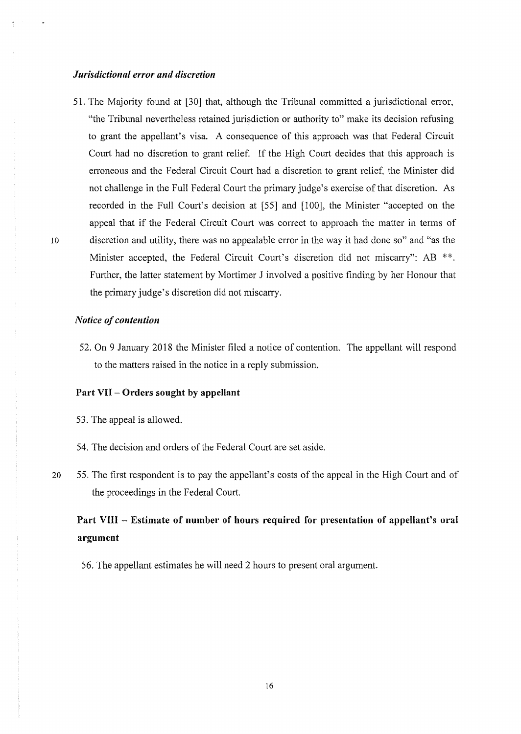## *Jurisdictional error and discretion*

51. The Majority found at [30] that, although the Tribunal committed a jurisdictional error, "the Tribunal nevertheless retained jurisdiction or authority to" make its decision refusing to grant the appellant's visa. A consequence of this approach was that Federal Circuit Court had no discretion to grant relief. If the High Court decides that this approach is erroneous and the Federal Circuit Court had a discretion to grant relief, the Minister did not challenge in the Full Federal Court the primary judge's exercise of that discretion. As recorded in the Full Court's decision at [55] and [100], the Minister "accepted on the appeal that if the Federal Circuit Court was correct to approach the matter in terms of 10 discretion and utility, there was no appealable error in the way it had done so" and "as the Minister accepted, the Federal Circuit Court's discretion did not miscarry": AB \*\*. Further, the latter statement by Mortimer J involved a positive finding by her Honour that the primary judge's discretion did not miscarry.

### *Notice of contention*

52. On 9 January 2018 the Minister filed a notice of contention. The appellant will respond to the matters raised in the notice in a reply submission.

## **Part VII- Orders sought by appellant**

- 53. The appeal is allowed.
- 54. The decision and orders of the Federal Court are set aside.
- 20 55. The first respondent is to pay the appellant's costs of the appeal in the High Court and of the proceedings in the Federal Court.

# **Part VIII - Estimate of number of hours required for presentation of appellant's oral argument**

56. The appellant estimates he will need 2 hours to present oral argument.